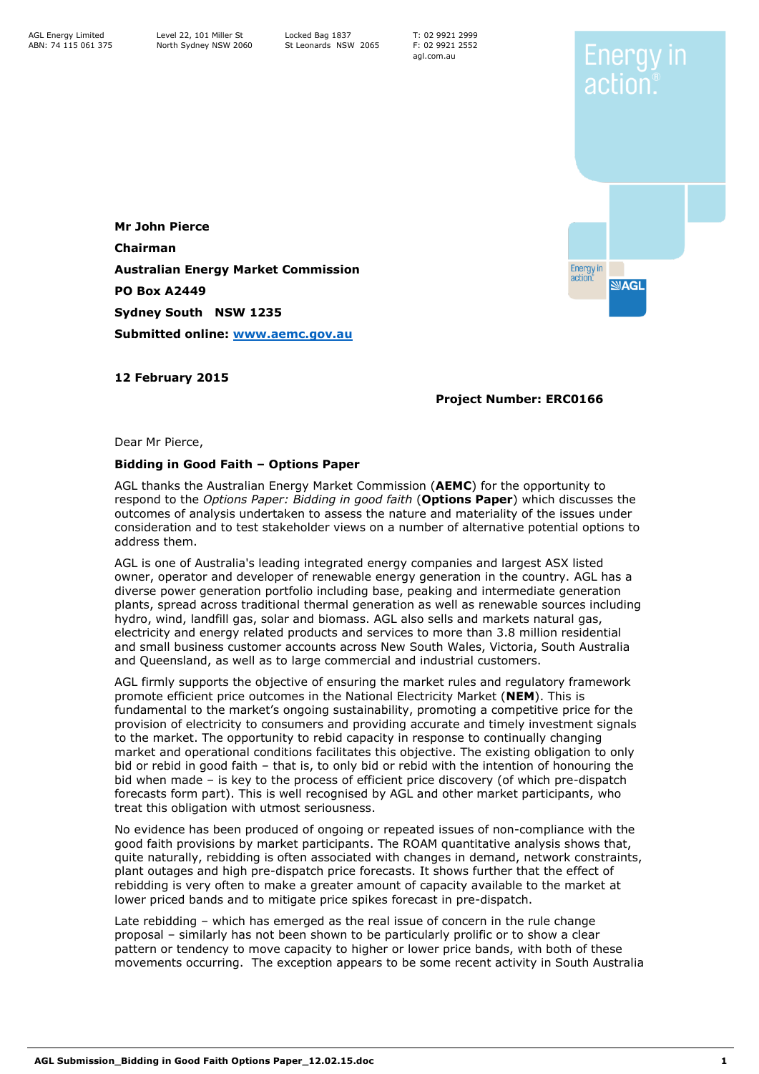T: 02 9921 2999 F: 02 9921 2552 agl.com.au



Enerav in

actior

**Mr John Pierce Chairman Australian Energy Market Commission PO Box A2449 Sydney South NSW 1235 Submitted online: [www.aemc.gov.au](http://www.aemc.gov.au/)**

**12 February 2015**

### **Project Number: ERC0166**

Dear Mr Pierce,

#### **Bidding in Good Faith – Options Paper**

AGL thanks the Australian Energy Market Commission (**AEMC**) for the opportunity to respond to the *Options Paper: Bidding in good faith* (**Options Paper**) which discusses the outcomes of analysis undertaken to assess the nature and materiality of the issues under consideration and to test stakeholder views on a number of alternative potential options to address them.

AGL is one of Australia's leading integrated energy companies and largest ASX listed owner, operator and developer of renewable energy generation in the country. AGL has a diverse power generation portfolio including base, peaking and intermediate generation plants, spread across traditional thermal generation as well as renewable sources including hydro, wind, landfill gas, solar and biomass. AGL also sells and markets natural gas, electricity and energy related products and services to more than 3.8 million residential and small business customer accounts across New South Wales, Victoria, South Australia and Queensland, as well as to large commercial and industrial customers.

AGL firmly supports the objective of ensuring the market rules and regulatory framework promote efficient price outcomes in the National Electricity Market (**NEM**). This is fundamental to the market's ongoing sustainability, promoting a competitive price for the provision of electricity to consumers and providing accurate and timely investment signals to the market. The opportunity to rebid capacity in response to continually changing market and operational conditions facilitates this objective. The existing obligation to only bid or rebid in good faith – that is, to only bid or rebid with the intention of honouring the bid when made – is key to the process of efficient price discovery (of which pre-dispatch forecasts form part). This is well recognised by AGL and other market participants, who treat this obligation with utmost seriousness.

No evidence has been produced of ongoing or repeated issues of non-compliance with the good faith provisions by market participants. The ROAM quantitative analysis shows that, quite naturally, rebidding is often associated with changes in demand, network constraints, plant outages and high pre-dispatch price forecasts. It shows further that the effect of rebidding is very often to make a greater amount of capacity available to the market at lower priced bands and to mitigate price spikes forecast in pre-dispatch.

Late rebidding – which has emerged as the real issue of concern in the rule change proposal – similarly has not been shown to be particularly prolific or to show a clear pattern or tendency to move capacity to higher or lower price bands, with both of these movements occurring. The exception appears to be some recent activity in South Australia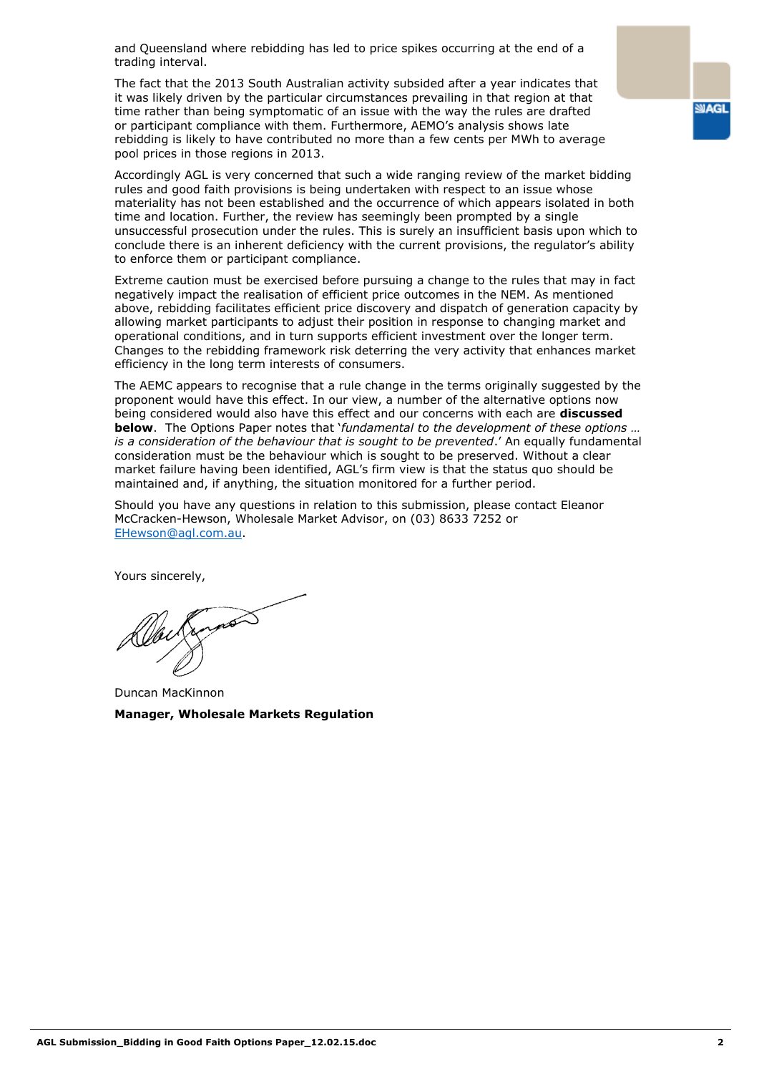and Queensland where rebidding has led to price spikes occurring at the end of a trading interval.

The fact that the 2013 South Australian activity subsided after a year indicates that it was likely driven by the particular circumstances prevailing in that region at that time rather than being symptomatic of an issue with the way the rules are drafted or participant compliance with them. Furthermore, AEMO's analysis shows late rebidding is likely to have contributed no more than a few cents per MWh to average pool prices in those regions in 2013.

Accordingly AGL is very concerned that such a wide ranging review of the market bidding rules and good faith provisions is being undertaken with respect to an issue whose materiality has not been established and the occurrence of which appears isolated in both time and location. Further, the review has seemingly been prompted by a single unsuccessful prosecution under the rules. This is surely an insufficient basis upon which to conclude there is an inherent deficiency with the current provisions, the regulator's ability to enforce them or participant compliance.

Extreme caution must be exercised before pursuing a change to the rules that may in fact negatively impact the realisation of efficient price outcomes in the NEM. As mentioned above, rebidding facilitates efficient price discovery and dispatch of generation capacity by allowing market participants to adjust their position in response to changing market and operational conditions, and in turn supports efficient investment over the longer term. Changes to the rebidding framework risk deterring the very activity that enhances market efficiency in the long term interests of consumers.

The AEMC appears to recognise that a rule change in the terms originally suggested by the proponent would have this effect. In our view, a number of the alternative options now being considered would also have this effect and our concerns with each are **discussed below**. The Options Paper notes that '*fundamental to the development of these options … is a consideration of the behaviour that is sought to be prevented*.' An equally fundamental consideration must be the behaviour which is sought to be preserved. Without a clear market failure having been identified, AGL's firm view is that the status quo should be maintained and, if anything, the situation monitored for a further period.

Should you have any questions in relation to this submission, please contact Eleanor McCracken-Hewson, Wholesale Market Advisor, on (03) 8633 7252 or [EHewson@agl.com.au.](mailto:EHewson@agl.com.au)

Yours sincerely,

Duncan MacKinnon **Manager, Wholesale Markets Regulation**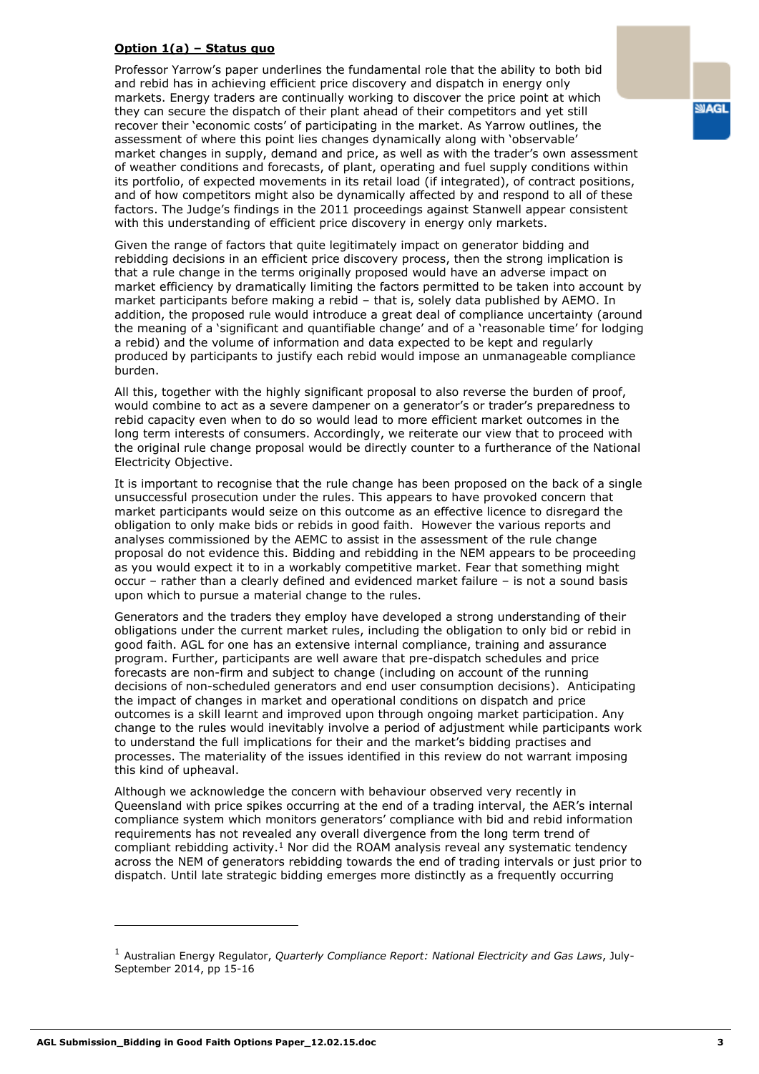#### **Option 1(a) – Status quo**

Professor Yarrow's paper underlines the fundamental role that the ability to both bid and rebid has in achieving efficient price discovery and dispatch in energy only markets. Energy traders are continually working to discover the price point at which they can secure the dispatch of their plant ahead of their competitors and yet still recover their 'economic costs' of participating in the market. As Yarrow outlines, the assessment of where this point lies changes dynamically along with 'observable' market changes in supply, demand and price, as well as with the trader's own assessment of weather conditions and forecasts, of plant, operating and fuel supply conditions within its portfolio, of expected movements in its retail load (if integrated), of contract positions, and of how competitors might also be dynamically affected by and respond to all of these factors. The Judge's findings in the 2011 proceedings against Stanwell appear consistent with this understanding of efficient price discovery in energy only markets.

Given the range of factors that quite legitimately impact on generator bidding and rebidding decisions in an efficient price discovery process, then the strong implication is that a rule change in the terms originally proposed would have an adverse impact on market efficiency by dramatically limiting the factors permitted to be taken into account by market participants before making a rebid – that is, solely data published by AEMO. In addition, the proposed rule would introduce a great deal of compliance uncertainty (around the meaning of a 'significant and quantifiable change' and of a 'reasonable time' for lodging a rebid) and the volume of information and data expected to be kept and regularly produced by participants to justify each rebid would impose an unmanageable compliance burden.

All this, together with the highly significant proposal to also reverse the burden of proof, would combine to act as a severe dampener on a generator's or trader's preparedness to rebid capacity even when to do so would lead to more efficient market outcomes in the long term interests of consumers. Accordingly, we reiterate our view that to proceed with the original rule change proposal would be directly counter to a furtherance of the National Electricity Objective.

It is important to recognise that the rule change has been proposed on the back of a single unsuccessful prosecution under the rules. This appears to have provoked concern that market participants would seize on this outcome as an effective licence to disregard the obligation to only make bids or rebids in good faith. However the various reports and analyses commissioned by the AEMC to assist in the assessment of the rule change proposal do not evidence this. Bidding and rebidding in the NEM appears to be proceeding as you would expect it to in a workably competitive market. Fear that something might occur – rather than a clearly defined and evidenced market failure – is not a sound basis upon which to pursue a material change to the rules.

Generators and the traders they employ have developed a strong understanding of their obligations under the current market rules, including the obligation to only bid or rebid in good faith. AGL for one has an extensive internal compliance, training and assurance program. Further, participants are well aware that pre-dispatch schedules and price forecasts are non-firm and subject to change (including on account of the running decisions of non-scheduled generators and end user consumption decisions). Anticipating the impact of changes in market and operational conditions on dispatch and price outcomes is a skill learnt and improved upon through ongoing market participation. Any change to the rules would inevitably involve a period of adjustment while participants work to understand the full implications for their and the market's bidding practises and processes. The materiality of the issues identified in this review do not warrant imposing this kind of upheaval.

Although we acknowledge the concern with behaviour observed very recently in Queensland with price spikes occurring at the end of a trading interval, the AER's internal compliance system which monitors generators' compliance with bid and rebid information requirements has not revealed any overall divergence from the long term trend of compliant rebidding activity.<sup>1</sup> Nor did the ROAM analysis reveal any systematic tendency across the NEM of generators rebidding towards the end of trading intervals or just prior to dispatch. Until late strategic bidding emerges more distinctly as a frequently occurring

**SIAGL** 

ł

<sup>1</sup> Australian Energy Regulator, *Quarterly Compliance Report: National Electricity and Gas Laws*, July-September 2014, pp 15-16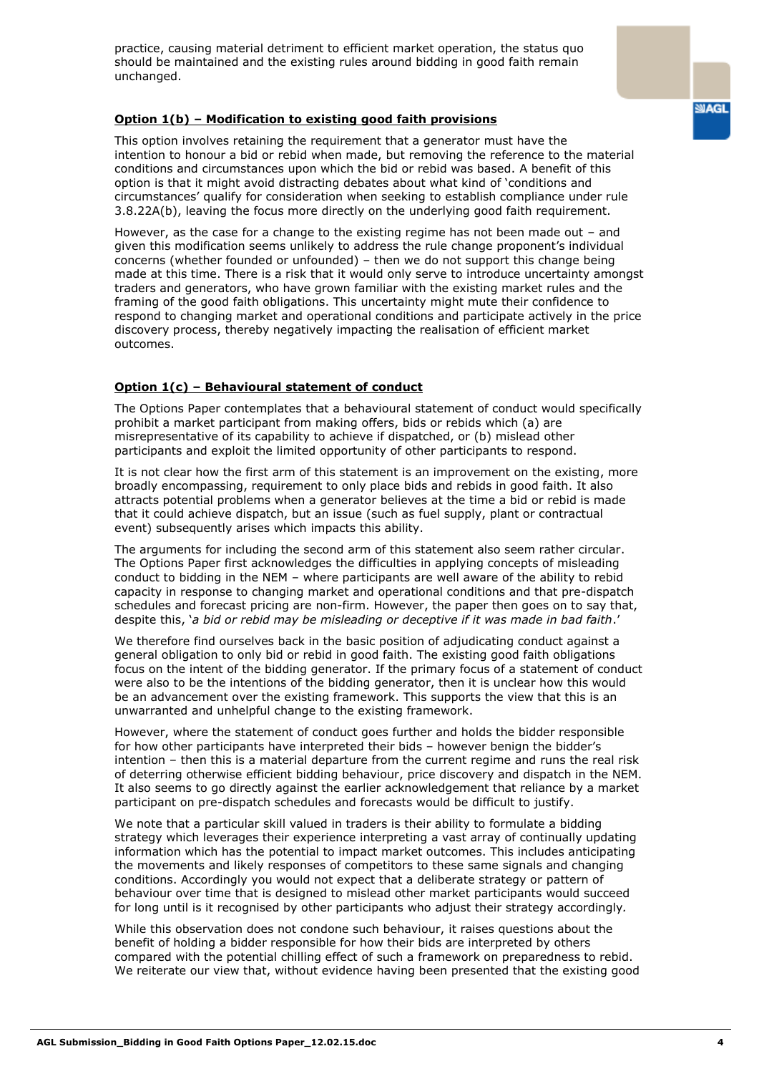practice, causing material detriment to efficient market operation, the status quo should be maintained and the existing rules around bidding in good faith remain unchanged.

### **Option 1(b) – Modification to existing good faith provisions**

This option involves retaining the requirement that a generator must have the intention to honour a bid or rebid when made, but removing the reference to the material conditions and circumstances upon which the bid or rebid was based. A benefit of this option is that it might avoid distracting debates about what kind of 'conditions and circumstances' qualify for consideration when seeking to establish compliance under rule 3.8.22A(b), leaving the focus more directly on the underlying good faith requirement.

However, as the case for a change to the existing regime has not been made out – and given this modification seems unlikely to address the rule change proponent's individual concerns (whether founded or unfounded) – then we do not support this change being made at this time. There is a risk that it would only serve to introduce uncertainty amongst traders and generators, who have grown familiar with the existing market rules and the framing of the good faith obligations. This uncertainty might mute their confidence to respond to changing market and operational conditions and participate actively in the price discovery process, thereby negatively impacting the realisation of efficient market outcomes.

## **Option 1(c) – Behavioural statement of conduct**

The Options Paper contemplates that a behavioural statement of conduct would specifically prohibit a market participant from making offers, bids or rebids which (a) are misrepresentative of its capability to achieve if dispatched, or (b) mislead other participants and exploit the limited opportunity of other participants to respond.

It is not clear how the first arm of this statement is an improvement on the existing, more broadly encompassing, requirement to only place bids and rebids in good faith. It also attracts potential problems when a generator believes at the time a bid or rebid is made that it could achieve dispatch, but an issue (such as fuel supply, plant or contractual event) subsequently arises which impacts this ability.

The arguments for including the second arm of this statement also seem rather circular. The Options Paper first acknowledges the difficulties in applying concepts of misleading conduct to bidding in the NEM – where participants are well aware of the ability to rebid capacity in response to changing market and operational conditions and that pre-dispatch schedules and forecast pricing are non-firm. However, the paper then goes on to say that, despite this, '*a bid or rebid may be misleading or deceptive if it was made in bad faith*.'

We therefore find ourselves back in the basic position of adjudicating conduct against a general obligation to only bid or rebid in good faith. The existing good faith obligations focus on the intent of the bidding generator. If the primary focus of a statement of conduct were also to be the intentions of the bidding generator, then it is unclear how this would be an advancement over the existing framework. This supports the view that this is an unwarranted and unhelpful change to the existing framework.

However, where the statement of conduct goes further and holds the bidder responsible for how other participants have interpreted their bids – however benign the bidder's intention – then this is a material departure from the current regime and runs the real risk of deterring otherwise efficient bidding behaviour, price discovery and dispatch in the NEM. It also seems to go directly against the earlier acknowledgement that reliance by a market participant on pre-dispatch schedules and forecasts would be difficult to justify.

We note that a particular skill valued in traders is their ability to formulate a bidding strategy which leverages their experience interpreting a vast array of continually updating information which has the potential to impact market outcomes. This includes anticipating the movements and likely responses of competitors to these same signals and changing conditions. Accordingly you would not expect that a deliberate strategy or pattern of behaviour over time that is designed to mislead other market participants would succeed for long until is it recognised by other participants who adjust their strategy accordingly*.*

While this observation does not condone such behaviour, it raises questions about the benefit of holding a bidder responsible for how their bids are interpreted by others compared with the potential chilling effect of such a framework on preparedness to rebid. We reiterate our view that, without evidence having been presented that the existing good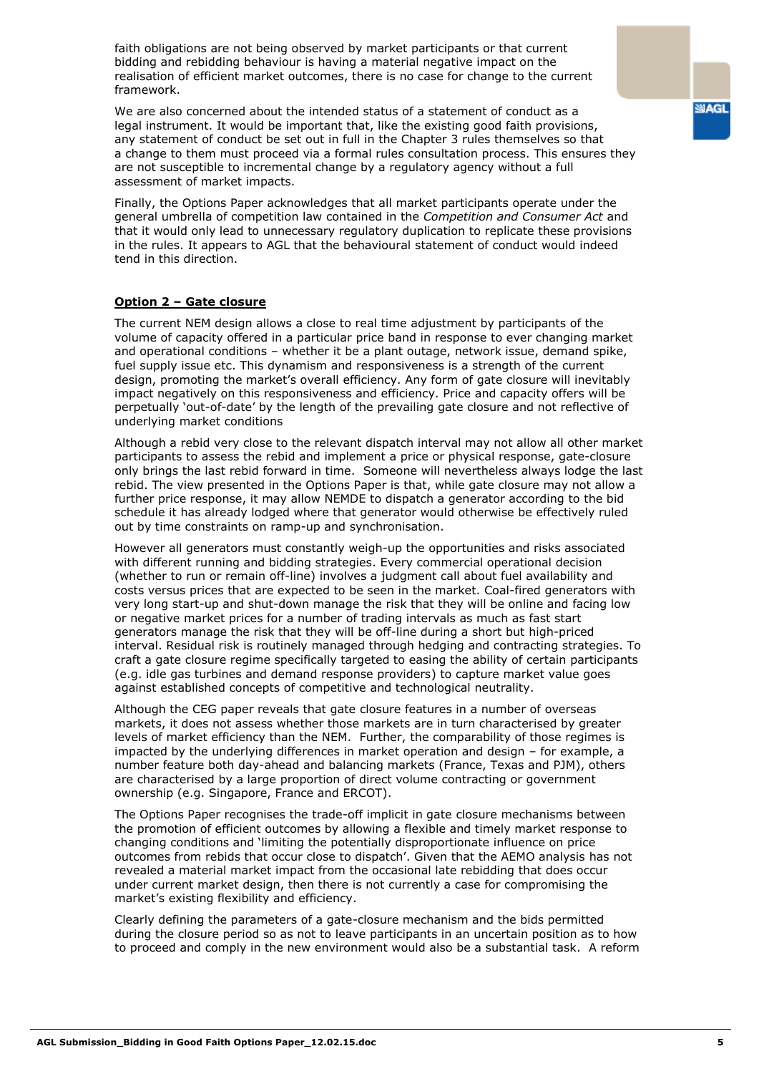faith obligations are not being observed by market participants or that current bidding and rebidding behaviour is having a material negative impact on the realisation of efficient market outcomes, there is no case for change to the current framework.

We are also concerned about the intended status of a statement of conduct as a legal instrument. It would be important that, like the existing good faith provisions, any statement of conduct be set out in full in the Chapter 3 rules themselves so that a change to them must proceed via a formal rules consultation process. This ensures they are not susceptible to incremental change by a regulatory agency without a full assessment of market impacts.

Finally, the Options Paper acknowledges that all market participants operate under the general umbrella of competition law contained in the *Competition and Consumer Act* and that it would only lead to unnecessary regulatory duplication to replicate these provisions in the rules. It appears to AGL that the behavioural statement of conduct would indeed tend in this direction.

#### **Option 2 – Gate closure**

The current NEM design allows a close to real time adjustment by participants of the volume of capacity offered in a particular price band in response to ever changing market and operational conditions – whether it be a plant outage, network issue, demand spike, fuel supply issue etc. This dynamism and responsiveness is a strength of the current design, promoting the market's overall efficiency. Any form of gate closure will inevitably impact negatively on this responsiveness and efficiency. Price and capacity offers will be perpetually 'out-of-date' by the length of the prevailing gate closure and not reflective of underlying market conditions

Although a rebid very close to the relevant dispatch interval may not allow all other market participants to assess the rebid and implement a price or physical response, gate-closure only brings the last rebid forward in time. Someone will nevertheless always lodge the last rebid. The view presented in the Options Paper is that, while gate closure may not allow a further price response, it may allow NEMDE to dispatch a generator according to the bid schedule it has already lodged where that generator would otherwise be effectively ruled out by time constraints on ramp-up and synchronisation.

However all generators must constantly weigh-up the opportunities and risks associated with different running and bidding strategies. Every commercial operational decision (whether to run or remain off-line) involves a judgment call about fuel availability and costs versus prices that are expected to be seen in the market. Coal-fired generators with very long start-up and shut-down manage the risk that they will be online and facing low or negative market prices for a number of trading intervals as much as fast start generators manage the risk that they will be off-line during a short but high-priced interval. Residual risk is routinely managed through hedging and contracting strategies. To craft a gate closure regime specifically targeted to easing the ability of certain participants (e.g. idle gas turbines and demand response providers) to capture market value goes against established concepts of competitive and technological neutrality.

Although the CEG paper reveals that gate closure features in a number of overseas markets, it does not assess whether those markets are in turn characterised by greater levels of market efficiency than the NEM. Further, the comparability of those regimes is impacted by the underlying differences in market operation and design – for example, a number feature both day-ahead and balancing markets (France, Texas and PJM), others are characterised by a large proportion of direct volume contracting or government ownership (e.g. Singapore, France and ERCOT).

The Options Paper recognises the trade-off implicit in gate closure mechanisms between the promotion of efficient outcomes by allowing a flexible and timely market response to changing conditions and 'limiting the potentially disproportionate influence on price outcomes from rebids that occur close to dispatch'. Given that the AEMO analysis has not revealed a material market impact from the occasional late rebidding that does occur under current market design, then there is not currently a case for compromising the market's existing flexibility and efficiency.

Clearly defining the parameters of a gate-closure mechanism and the bids permitted during the closure period so as not to leave participants in an uncertain position as to how to proceed and comply in the new environment would also be a substantial task. A reform **SIAGL**